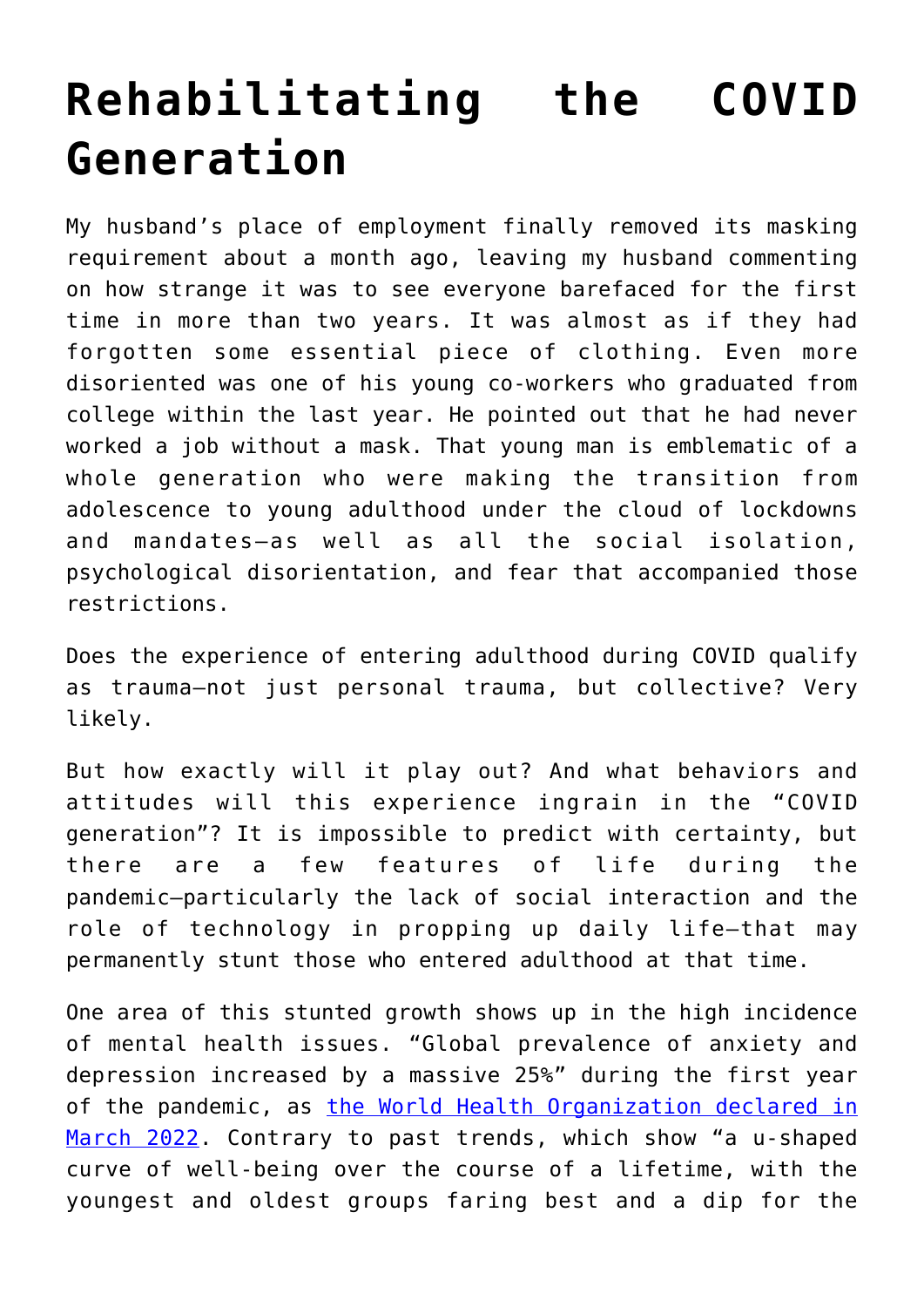## **[Rehabilitating the COVID](https://intellectualtakeout.org/2022/05/rehabilitating-the-covid-generation/) [Generation](https://intellectualtakeout.org/2022/05/rehabilitating-the-covid-generation/)**

My husband's place of employment finally removed its masking requirement about a month ago, leaving my husband commenting on how strange it was to see everyone barefaced for the first time in more than two years. It was almost as if they had forgotten some essential piece of clothing. Even more disoriented was one of his young co-workers who graduated from college within the last year. He pointed out that he had never worked a job without a mask. That young man is emblematic of a whole generation who were making the transition from adolescence to young adulthood under the cloud of lockdowns and mandates—as well as all the social isolation, psychological disorientation, and fear that accompanied those restrictions.

Does the experience of entering adulthood during COVID qualify as trauma—not just personal trauma, but collective? Very likely.

But how exactly will it play out? And what behaviors and attitudes will this experience ingrain in the "COVID generation"? It is impossible to predict with certainty, but there are a few features of life during the pandemic—particularly the lack of social interaction and the role of technology in propping up daily life—that may permanently stunt those who entered adulthood at that time.

One area of this stunted growth shows up in the high incidence of mental health issues. "Global prevalence of anxiety and depression increased by a massive 25%" during the first year of the pandemic, as [the World Health Organization declared in](https://www.who.int/news/item/02-03-2022-covid-19-pandemic-triggers-25-increase-in-prevalence-of-anxiety-and-depression-worldwide) [March 2022.](https://www.who.int/news/item/02-03-2022-covid-19-pandemic-triggers-25-increase-in-prevalence-of-anxiety-and-depression-worldwide) Contrary to past trends, which show "a u-shaped curve of well-being over the course of a lifetime, with the youngest and oldest groups faring best and a dip for the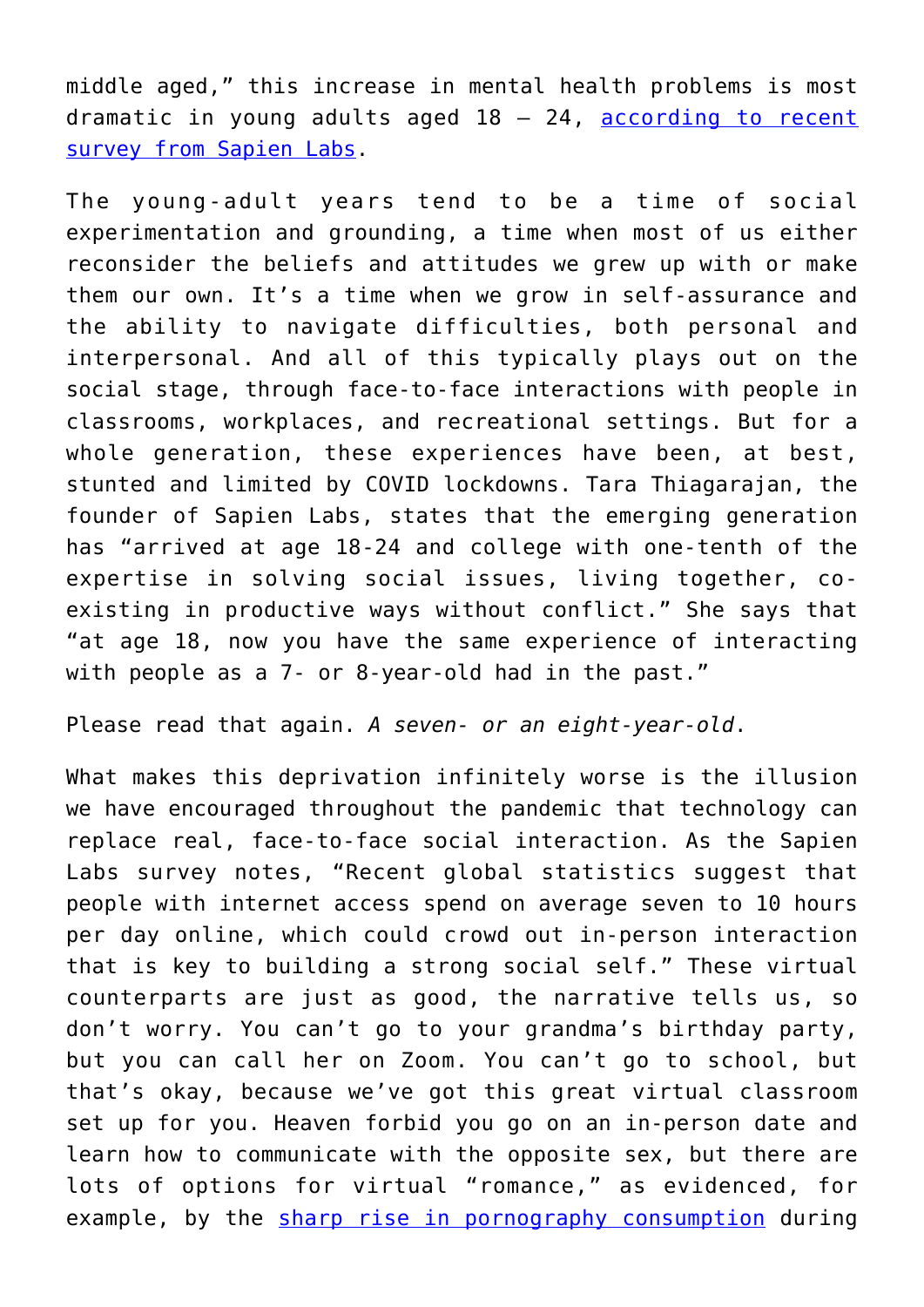middle aged," this increase in mental health problems is most dramatic in young adults aged  $18 - 24$ , [according to recent](https://www.vox.com/23013483/mental-health-pandemic-young-people-sapien-labs) [survey from Sapien Labs](https://www.vox.com/23013483/mental-health-pandemic-young-people-sapien-labs).

The young-adult years tend to be a time of social experimentation and grounding, a time when most of us either reconsider the beliefs and attitudes we grew up with or make them our own. It's a time when we grow in self-assurance and the ability to navigate difficulties, both personal and interpersonal. And all of this typically plays out on the social stage, through face-to-face interactions with people in classrooms, workplaces, and recreational settings. But for a whole generation, these experiences have been, at best, stunted and limited by COVID lockdowns. Tara Thiagarajan, the founder of Sapien Labs, states that the emerging generation has "arrived at age 18-24 and college with one-tenth of the expertise in solving social issues, living together, coexisting in productive ways without conflict." She says that "at age 18, now you have the same experience of interacting with people as a 7- or 8-year-old had in the past."

Please read that again. *A seven- or an eight-year-old*.

What makes this deprivation infinitely worse is the illusion we have encouraged throughout the pandemic that technology can replace real, face-to-face social interaction. As the Sapien Labs survey notes, "Recent global statistics suggest that people with internet access spend on average seven to 10 hours per day online, which could crowd out in-person interaction that is key to building a strong social self." These virtual counterparts are just as good, the narrative tells us, so don't worry. You can't go to your grandma's birthday party, but you can call her on Zoom. You can't go to school, but that's okay, because we've got this great virtual classroom set up for you. Heaven forbid you go on an in-person date and learn how to communicate with the opposite sex, but there are lots of options for virtual "romance," as evidenced, for example, by the [sharp rise in pornography consumption](https://www.frontiersin.org/articles/10.3389/fpsyt.2021.623508/full) during